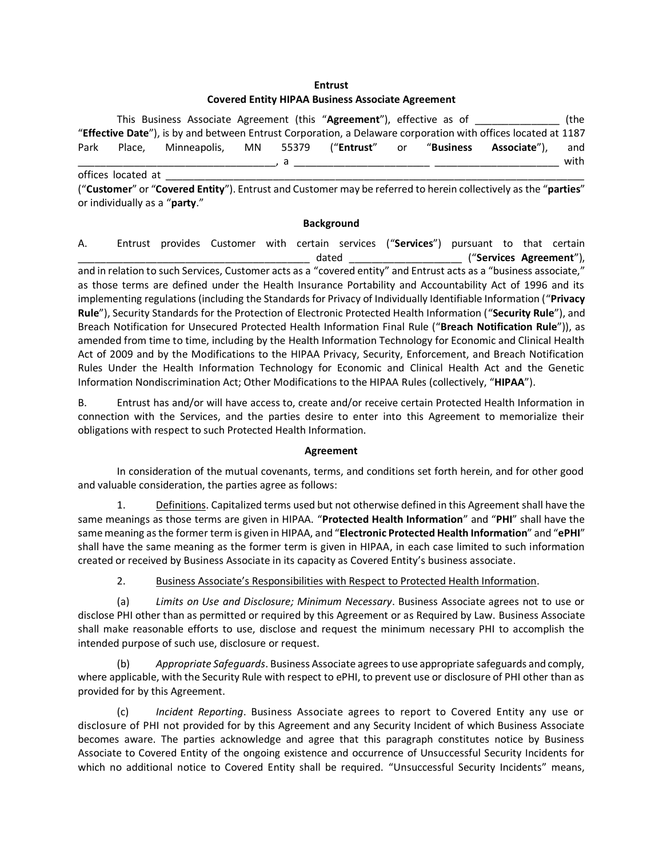## **Entrust**

## **Covered Entity HIPAA Business Associate Agreement**

This Business Associate Agreement (this "**Agreement**"), effective as of \_\_\_\_\_\_\_\_\_\_\_\_\_\_\_ (the "**Effective Date**"), is by and between Entrust Corporation, a Delaware corporation with offices located at 1187 Park Place, Minneapolis, MN 55379 ("**Entrust**" or "**Business Associate**"), and \_\_\_\_\_\_\_\_\_\_\_\_\_\_\_\_\_\_\_\_\_\_\_\_\_\_\_\_\_\_\_\_\_\_\_, a \_\_\_\_\_\_\_\_\_\_\_\_\_\_\_\_\_\_\_\_\_\_\_\_ \_\_\_\_\_\_\_\_\_\_\_\_\_\_\_\_\_\_\_\_\_\_ with offices located at \_\_\_\_\_\_\_\_\_\_\_\_\_\_\_\_\_\_\_\_\_\_\_\_\_\_\_\_\_\_\_\_\_\_\_\_\_\_\_\_\_\_\_\_\_\_\_\_\_\_\_\_\_\_\_\_\_\_\_\_\_\_\_\_\_\_\_\_\_\_\_\_\_\_

("**Customer**" or "**Covered Entity**"). Entrust and Customer may be referred to herein collectively as the "**parties**" or individually as a "**party**."

## **Background**

A. Entrust provides Customer with certain services ("**Services**") pursuant to that certain \_\_\_\_\_\_\_\_\_\_\_\_\_\_\_\_\_\_\_\_\_\_\_\_\_\_\_\_\_\_\_\_\_\_\_\_\_\_\_\_\_ dated \_\_\_\_\_\_\_\_\_\_\_\_\_\_\_\_\_\_\_\_ ("**Services Agreement**"), and in relation to such Services, Customer acts as a "covered entity" and Entrust acts as a "business associate," as those terms are defined under the Health Insurance Portability and Accountability Act of 1996 and its implementing regulations (including the Standards for Privacy of Individually Identifiable Information ("**Privacy Rule**"), Security Standards for the Protection of Electronic Protected Health Information ("**Security Rule**"), and Breach Notification for Unsecured Protected Health Information Final Rule ("**Breach Notification Rule**")), as amended from time to time, including by the Health Information Technology for Economic and Clinical Health Act of 2009 and by the Modifications to the HIPAA Privacy, Security, Enforcement, and Breach Notification Rules Under the Health Information Technology for Economic and Clinical Health Act and the Genetic Information Nondiscrimination Act; Other Modifications to the HIPAA Rules (collectively, "**HIPAA**").

B. Entrust has and/or will have access to, create and/or receive certain Protected Health Information in connection with the Services, and the parties desire to enter into this Agreement to memorialize their obligations with respect to such Protected Health Information.

## **Agreement**

In consideration of the mutual covenants, terms, and conditions set forth herein, and for other good and valuable consideration, the parties agree as follows:

1. Definitions. Capitalized terms used but not otherwise defined in this Agreement shall have the same meanings as those terms are given in HIPAA. "**Protected Health Information**" and "**PHI**" shall have the same meaning as the former term is given in HIPAA, and "**Electronic Protected Health Information**" and "**ePHI**" shall have the same meaning as the former term is given in HIPAA, in each case limited to such information created or received by Business Associate in its capacity as Covered Entity's business associate.

2. Business Associate's Responsibilities with Respect to Protected Health Information.

(a) *Limits on Use and Disclosure; Minimum Necessary*. Business Associate agrees not to use or disclose PHI other than as permitted or required by this Agreement or as Required by Law. Business Associate shall make reasonable efforts to use, disclose and request the minimum necessary PHI to accomplish the intended purpose of such use, disclosure or request.

(b) *Appropriate Safeguards*. Business Associate agrees to use appropriate safeguards and comply, where applicable, with the Security Rule with respect to ePHI, to prevent use or disclosure of PHI other than as provided for by this Agreement.

(c) *Incident Reporting*. Business Associate agrees to report to Covered Entity any use or disclosure of PHI not provided for by this Agreement and any Security Incident of which Business Associate becomes aware. The parties acknowledge and agree that this paragraph constitutes notice by Business Associate to Covered Entity of the ongoing existence and occurrence of Unsuccessful Security Incidents for which no additional notice to Covered Entity shall be required. "Unsuccessful Security Incidents" means,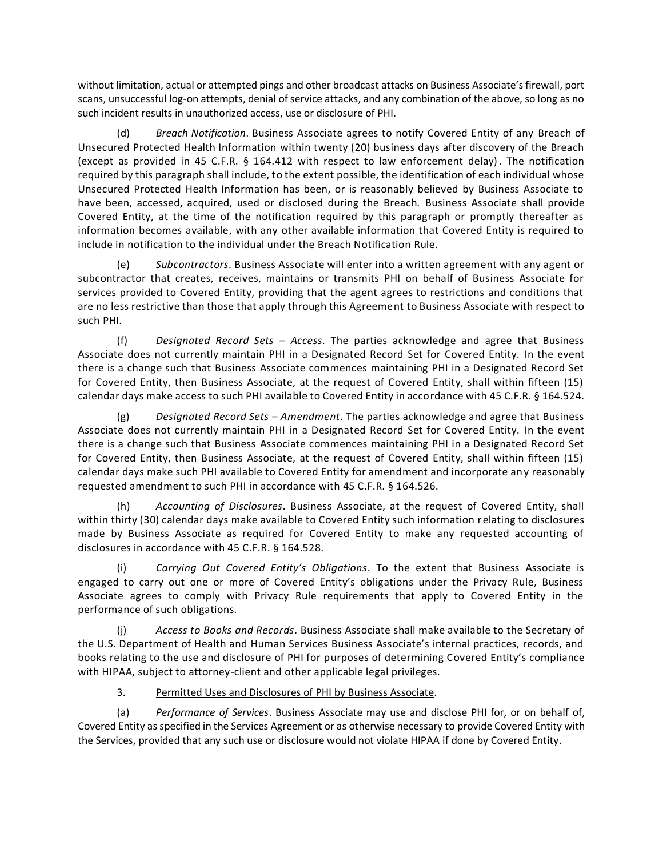without limitation, actual or attempted pings and other broadcast attacks on Business Associate's firewall, port scans, unsuccessful log-on attempts, denial of service attacks, and any combination of the above, so long as no such incident results in unauthorized access, use or disclosure of PHI.

(d) *Breach Notification*. Business Associate agrees to notify Covered Entity of any Breach of Unsecured Protected Health Information within twenty (20) business days after discovery of the Breach (except as provided in 45 C.F.R. § 164.412 with respect to law enforcement delay). The notification required by this paragraph shall include, to the extent possible, the identification of each individual whose Unsecured Protected Health Information has been, or is reasonably believed by Business Associate to have been, accessed, acquired, used or disclosed during the Breach. Business Associate shall provide Covered Entity, at the time of the notification required by this paragraph or promptly thereafter as information becomes available, with any other available information that Covered Entity is required to include in notification to the individual under the Breach Notification Rule.

(e) *Subcontractors*. Business Associate will enter into a written agreement with any agent or subcontractor that creates, receives, maintains or transmits PHI on behalf of Business Associate for services provided to Covered Entity, providing that the agent agrees to restrictions and conditions that are no less restrictive than those that apply through this Agreement to Business Associate with respect to such PHI.

(f) *Designated Record Sets – Access*. The parties acknowledge and agree that Business Associate does not currently maintain PHI in a Designated Record Set for Covered Entity. In the event there is a change such that Business Associate commences maintaining PHI in a Designated Record Set for Covered Entity, then Business Associate, at the request of Covered Entity, shall within fifteen (15) calendar days make access to such PHI available to Covered Entity in accordance with 45 C.F.R. § 164.524.

(g) *Designated Record Sets* – *Amendment*. The parties acknowledge and agree that Business Associate does not currently maintain PHI in a Designated Record Set for Covered Entity. In the event there is a change such that Business Associate commences maintaining PHI in a Designated Record Set for Covered Entity, then Business Associate, at the request of Covered Entity, shall within fifteen (15) calendar days make such PHI available to Covered Entity for amendment and incorporate any reasonably requested amendment to such PHI in accordance with 45 C.F.R. § 164.526.

(h) *Accounting of Disclosures*. Business Associate, at the request of Covered Entity, shall within thirty (30) calendar days make available to Covered Entity such information relating to disclosures made by Business Associate as required for Covered Entity to make any requested accounting of disclosures in accordance with 45 C.F.R. § 164.528.

(i) *Carrying Out Covered Entity's Obligations*. To the extent that Business Associate is engaged to carry out one or more of Covered Entity's obligations under the Privacy Rule, Business Associate agrees to comply with Privacy Rule requirements that apply to Covered Entity in the performance of such obligations.

(j) *Access to Books and Records*. Business Associate shall make available to the Secretary of the U.S. Department of Health and Human Services Business Associate's internal practices, records, and books relating to the use and disclosure of PHI for purposes of determining Covered Entity's compliance with HIPAA, subject to attorney-client and other applicable legal privileges.

3. Permitted Uses and Disclosures of PHI by Business Associate.

(a) *Performance of Services*. Business Associate may use and disclose PHI for, or on behalf of, Covered Entity as specified in the Services Agreement or as otherwise necessary to provide Covered Entity with the Services, provided that any such use or disclosure would not violate HIPAA if done by Covered Entity.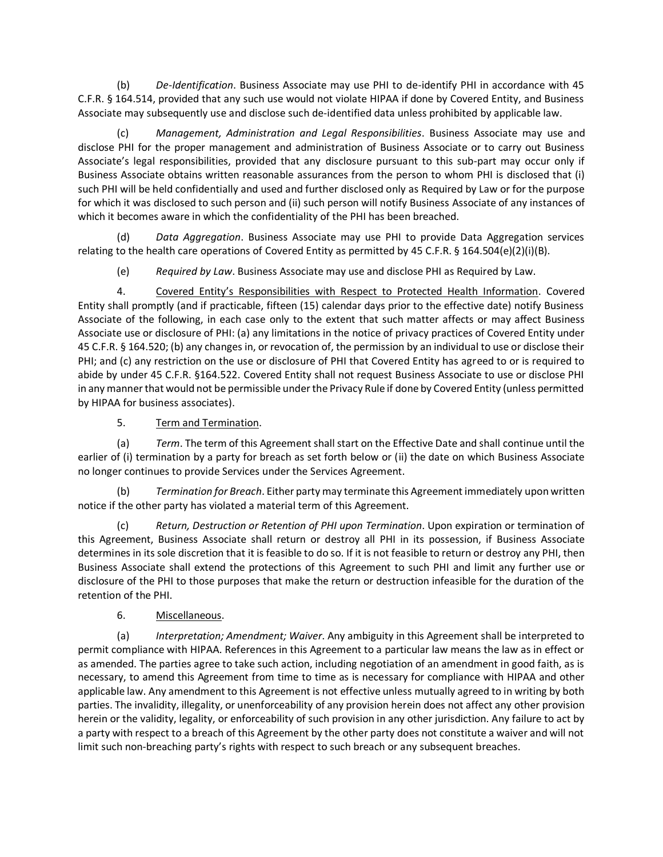(b) *De-Identification*. Business Associate may use PHI to de-identify PHI in accordance with 45 C.F.R. § 164.514, provided that any such use would not violate HIPAA if done by Covered Entity, and Business Associate may subsequently use and disclose such de-identified data unless prohibited by applicable law.

(c) *Management, Administration and Legal Responsibilities*. Business Associate may use and disclose PHI for the proper management and administration of Business Associate or to carry out Business Associate's legal responsibilities, provided that any disclosure pursuant to this sub-part may occur only if Business Associate obtains written reasonable assurances from the person to whom PHI is disclosed that (i) such PHI will be held confidentially and used and further disclosed only as Required by Law or for the purpose for which it was disclosed to such person and (ii) such person will notify Business Associate of any instances of which it becomes aware in which the confidentiality of the PHI has been breached.

(d) *Data Aggregation*. Business Associate may use PHI to provide Data Aggregation services relating to the health care operations of Covered Entity as permitted by 45 C.F.R. § 164.504(e)(2)(i)(B).

(e) *Required by Law*. Business Associate may use and disclose PHI as Required by Law.

4. Covered Entity's Responsibilities with Respect to Protected Health Information. Covered Entity shall promptly (and if practicable, fifteen (15) calendar days prior to the effective date) notify Business Associate of the following, in each case only to the extent that such matter affects or may affect Business Associate use or disclosure of PHI: (a) any limitations in the notice of privacy practices of Covered Entity under 45 C.F.R. § 164.520; (b) any changes in, or revocation of, the permission by an individual to use or disclose their PHI; and (c) any restriction on the use or disclosure of PHI that Covered Entity has agreed to or is required to abide by under 45 C.F.R. §164.522. Covered Entity shall not request Business Associate to use or disclose PHI in any manner that would not be permissible under the Privacy Rule if done by Covered Entity (unless permitted by HIPAA for business associates).

5. Term and Termination.

(a) *Term*. The term of this Agreement shall start on the Effective Date and shall continue until the earlier of (i) termination by a party for breach as set forth below or (ii) the date on which Business Associate no longer continues to provide Services under the Services Agreement.

(b) *Termination for Breach*. Either party may terminate this Agreement immediately upon written notice if the other party has violated a material term of this Agreement.

(c) *Return, Destruction or Retention of PHI upon Termination*. Upon expiration or termination of this Agreement, Business Associate shall return or destroy all PHI in its possession, if Business Associate determines in its sole discretion that it is feasible to do so. If it is not feasible to return or destroy any PHI, then Business Associate shall extend the protections of this Agreement to such PHI and limit any further use or disclosure of the PHI to those purposes that make the return or destruction infeasible for the duration of the retention of the PHI.

6. Miscellaneous.

(a) *Interpretation; Amendment; Waiver*. Any ambiguity in this Agreement shall be interpreted to permit compliance with HIPAA. References in this Agreement to a particular law means the law as in effect or as amended. The parties agree to take such action, including negotiation of an amendment in good faith, as is necessary, to amend this Agreement from time to time as is necessary for compliance with HIPAA and other applicable law. Any amendment to this Agreement is not effective unless mutually agreed to in writing by both parties. The invalidity, illegality, or unenforceability of any provision herein does not affect any other provision herein or the validity, legality, or enforceability of such provision in any other jurisdiction. Any failure to act by a party with respect to a breach of this Agreement by the other party does not constitute a waiver and will not limit such non-breaching party's rights with respect to such breach or any subsequent breaches.